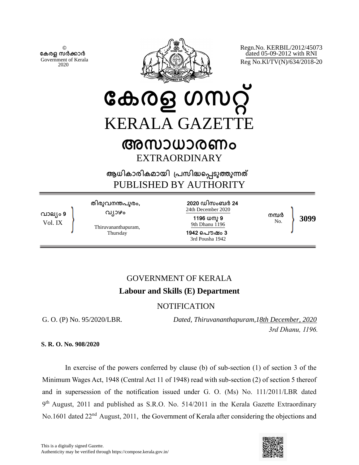© **േകരള സർകാർ** Government of Kerala 2020



Regn.No. KERBIL/2012/45073 dated 05-09-2012 with RNI Reg No.Kl/TV(N)/634/2018-20

**േകരള ഗസറ്** KERALA GAZETT

# **അസാധാരണം** EXTRAORDINARY

**ആധികാരികമായി ്പസിദെപടുതുനത** PUBLISHED BY AUTHORITY

**വാല്ം 9** Vol. IX

**തിരുവനനപുരം, വ്ാഴം**

Thiruvananthapuram, **Thursday** 

**2020 ഡിസംബർ 24** 24th December 2020 **1196 ധനു 9** 9th Dhanu 1196

**1942 െപൗഷം 3** 3rd Pousha 1942

**നമർ** No. **3099**

## GOVERNMENT OF KERALA **Labour and Skills (E) Department**

## NOTIFICATION

G. O. (P) No. 95/2020/LBR*.* 

*Dated, Thiruvananthapuram,18th December, 2020 3rd Dhanu, 1196.*

 **S. R. O. No. 908/2020**

In exercise of the powers conferred by clause (b) of sub-section (1) of section 3 of the Minimum Wages Act, 1948 (Central Act 11 of 1948) read with sub-section (2) of section 5 thereof and in supersession of the notification issued under G. O. (Ms) No. 111/2011/LBR dated 9<sup>th</sup> August, 2011 and published as S.R.O. No. 514/2011 in the Kerala Gazette Extraordinary No.1601 dated 22<sup>nd</sup> August, 2011, the Government of Kerala after considering the objections and

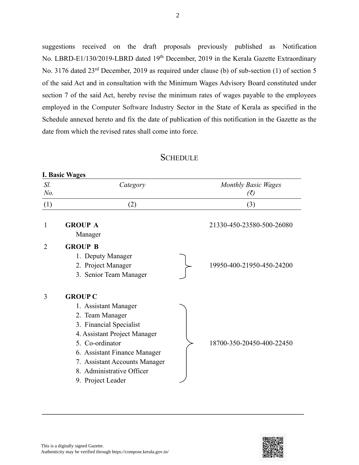suggestions received on the draft proposals previously published as Notification No. LBRD-E1/130/2019-LBRD dated 19<sup>th</sup> December, 2019 in the Kerala Gazette Extraordinary No. 3176 dated 23<sup>rd</sup> December, 2019 as required under clause (b) of sub-section (1) of section 5 of the said Act and in consultation with the Minimum Wages Advisory Board constituted under section 7 of the said Act, hereby revise the minimum rates of wages payable to the employees employed in the Computer Software Industry Sector in the State of Kerala as specified in the Schedule annexed hereto and fix the date of publication of this notification in the Gazette as the date from which the revised rates shall come into force.

### **SCHEDULE**

| Sl.<br>No. | Category                                                                                                                                                                                                                                                   | <b>Monthly Basic Wages</b><br>$(\bar{\zeta})$ |
|------------|------------------------------------------------------------------------------------------------------------------------------------------------------------------------------------------------------------------------------------------------------------|-----------------------------------------------|
| (1)        | (2)                                                                                                                                                                                                                                                        | (3)                                           |
| 1          | <b>GROUP A</b><br>Manager                                                                                                                                                                                                                                  | 21330-450-23580-500-26080                     |
| 2          | <b>GROUP B</b><br>1. Deputy Manager<br>2. Project Manager<br>3. Senior Team Manager                                                                                                                                                                        | 19950-400-21950-450-24200                     |
| 3          | <b>GROUP C</b><br>1. Assistant Manager<br>2. Team Manager<br>3. Financial Specialist<br>4. Assistant Project Manager<br>5. Co-ordinator<br>6. Assistant Finance Manager<br>7. Assistant Accounts Manager<br>8. Administrative Officer<br>9. Project Leader | 18700-350-20450-400-22450                     |

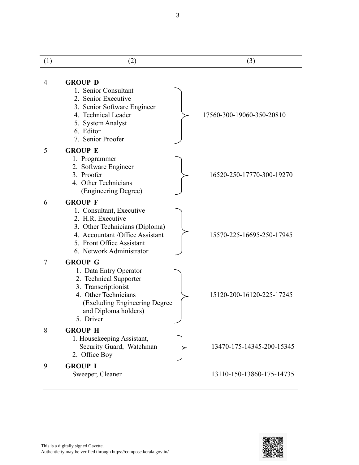| (1)            | (2)                                                                                                                                                                                           | (3)                       |
|----------------|-----------------------------------------------------------------------------------------------------------------------------------------------------------------------------------------------|---------------------------|
| $\overline{4}$ | <b>GROUP D</b><br>1. Senior Consultant<br>2. Senior Executive<br>3. Senior Software Engineer<br>4. Technical Leader<br>5. System Analyst<br>6. Editor<br>7. Senior Proofer                    | 17560-300-19060-350-20810 |
| 5              | <b>GROUP E</b><br>1. Programmer<br>2. Software Engineer<br>3. Proofer<br>4. Other Technicians<br>(Engineering Degree)                                                                         | 16520-250-17770-300-19270 |
| 6              | <b>GROUP F</b><br>1. Consultant, Executive<br>2. H.R. Executive<br>3. Other Technicians (Diploma)<br>4. Accountant /Office Assistant<br>5. Front Office Assistant<br>6. Network Administrator | 15570-225-16695-250-17945 |
| 7              | <b>GROUP G</b><br>1. Data Entry Operator<br>2. Technical Supporter<br>3. Transcriptionist<br>4. Other Technicians<br>(Excluding Engineering Degree<br>and Diploma holders)<br>5. Driver       | 15120-200-16120-225-17245 |
| 8              | <b>GROUP H</b><br>1. Housekeeping Assistant,<br>Security Guard, Watchman<br>2. Office Boy                                                                                                     | 13470-175-14345-200-15345 |
| 9              | <b>GROUP I</b><br>Sweeper, Cleaner                                                                                                                                                            | 13110-150-13860-175-14735 |



3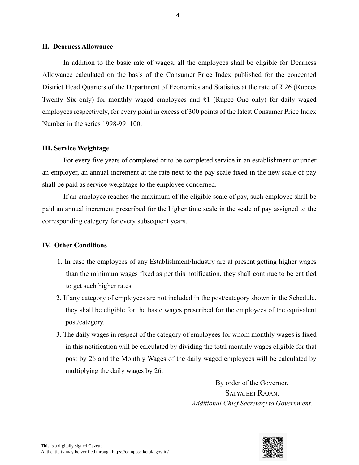#### **II. Dearness Allowance**

In addition to the basic rate of wages, all the employees shall be eligible for Dearness Allowance calculated on the basis of the Consumer Price Index published for the concerned District Head Quarters of the Department of Economics and Statistics at the rate of ₹ 26 (Rupees Twenty Six only) for monthly waged employees and ₹1 (Rupee One only) for daily waged employees respectively, for every point in excess of 300 points of the latest Consumer Price Index Number in the series 1998-99=100.

#### **III. Service Weightage**

For every five years of completed or to be completed service in an establishment or under an employer, an annual increment at the rate next to the pay scale fixed in the new scale of pay shall be paid as service weightage to the employee concerned.

If an employee reaches the maximum of the eligible scale of pay, such employee shall be paid an annual increment prescribed for the higher time scale in the scale of pay assigned to the corresponding category for every subsequent years.

#### **IV. Other Conditions**

- 1. In case the employees of any Establishment/Industry are at present getting higher wages than the minimum wages fixed as per this notification, they shall continue to be entitled to get such higher rates.
- 2. If any category of employees are not included in the post/category shown in the Schedule, they shall be eligible for the basic wages prescribed for the employees of the equivalent post/category.
- 3. The daily wages in respect of the category of employees for whom monthly wages is fixed in this notification will be calculated by dividing the total monthly wages eligible for that post by 26 and the Monthly Wages of the daily waged employees will be calculated by multiplying the daily wages by 26.

By order of the Governor, SATYAJEET RAJAN, *Additional Chief Secretary to Government.*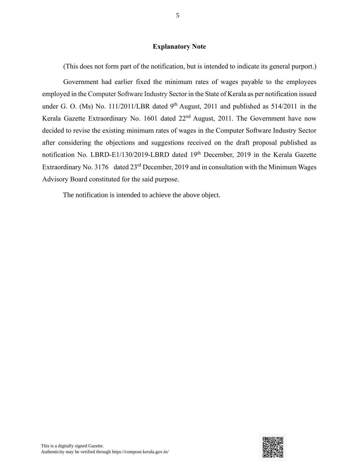#### **Explanatory Note**

(This does not form part of the notification, but is intended to indicate its general purport.)

Government had earlier fixed the minimum rates of wages payable to the employees employed in the Computer Software Industry Sector in the State of Kerala as per notification issued under G. O. (Ms) No. 111/2011/LBR dated  $9<sup>th</sup>$  August, 2011 and published as 514/2011 in the Kerala Gazette Extraordinary No. 1601 dated 22<sup>nd</sup> August, 2011. The Government have now decided to revise the existing minimum rates of wages in the Computer Software Industry Sector after considering the objections and suggestions received on the draft proposal published as notification No. LBRD-E1/130/2019-LBRD dated 19<sup>th</sup> December, 2019 in the Kerala Gazette Extraordinary No. 3176 dated  $23<sup>rd</sup>$  December, 2019 and in consultation with the Minimum Wages Advisory Board constituted for the said purpose.

The notification is intended to achieve the above object.

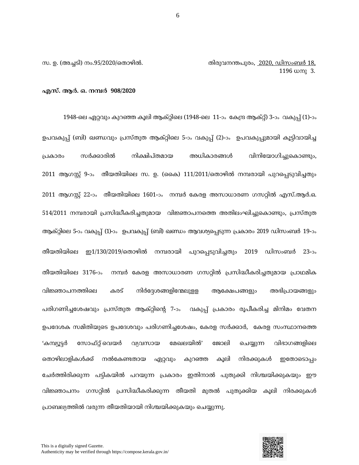സ. ഉ. (അച്ചടി) നം.95/2020/തൊഴിൽ. തിരുവനന്തപുരം, <u>2020, ഡിസംബർ 18,</u>  $1196 \; \omega$ നു  $3.$ 

#### **എസ്. ആർ. ഒ. നമ്പർ 908/2020**

1948-തെ ഏറ്റവും കുറഞ്ഞ കൂെി ആക്റ്റിതെ (1948-തെ 11-ാം കകന്ദ്ര ആക്റ്റ്) 3-ാം വകുപ്പ് (1)-ാം ഉപവകുപ്പ് (ബി) ഖണ്ഡവും പ്രസ്തുത ആക്റ്റിലെ 5-ാം വകുപ്പ് (2)-ാം ഉപവകുപ്പുമായി കൂട്ടിവായിച്ച പ്രകാരം സർക്കാരിൽ നിക്ഷിപ്തമായ അധികാരങ്ങൾ വിനിയോഗിച്ചുകൊണ്ടും, 2011 ആഗസ്റ്റ് 9-ാം തീയതിയിലെ സ. ഉ. (കൈ) 111/2011/തൊഴിൽ നമ്പരായി പുറപ്പെടുവിച്ചതും 2011 ആഗസ്റ്റ് 22-ാം തീയതിയിലെ 1601-ാം നമ്പർ കേരള അസാധാരണ ഗസറ്റിൽ എസ്.ആർ.ഒ. 514/2011 നമ്പരായി പ്രസിദ്ധീകരിച്ചതുമായ വിജ്ഞാപനത്തെ അതിലംഘിച്ചുകൊണ്ടും, പ്രസ്തുത ആക്റ്റിലെ 5-ാം വകുപ്പ് (1)-ാം ഉപവകുപ്പ് (ബി) ഖണ്ഡം ആവശ്യപ്പെടുന്ന പ്രകാരം 2019 ഡിസംബർ 19-ാം തീയതിയിലെ ഇ1/130/2019/തൊഴിൽ നമ്പരായി പുറപ്പെടുവിച്ചതും 2019 ഡിസംബർ 23-ാം തീയതിയിലെ 3176-ാം നമ്പർ കേരള അസാധാരണ ഗസറ്റിൽ പ്രസിദ്ധീകരിച്ചതുമായ പ്രാഥമിക വിജ്ഞാപനത്തിലെ കരട് നിർദ്ദേശങ്ങളിന്മേലുളള ആക്ഷേപങ്ങളും അഭിപ്രായങ്ങളും പരിഗണിച്ചശേഷവും പ്രസ്തുത ആക്റ്റിന്റെ 7-ാം വകുപ്പ് പ്രകാരം രൂപീകരിച്ച മിനിമം വേതന ഉപദേശക സമിതിയുടെ ഉപദേശവും പരിഗണിച്ചശേഷം, കേരള സർക്കാർ, കേരള സംസ്ഥാനത്തെ 'കമ്പ്യൂട്ടർ സോഫ്റ്റ്.വെയർ വ്യവസായ മേഖലയിൽ' ജോലി ചെയ്യുന്ന വിഭാഗങ്ങളിലെ തൊഴിലാളികൾക്ക് നൽകേണ്ടതായ ഏറ്റവും കുറഞ്ഞ കൂലി നിരക്കുകൾ ഇതോടൊപ്പം ചേർത്തിരിക്കുന്ന പട്ടികയിൽ പറയുന്ന പ്രകാരം ഇതിനാൽ പുതുക്കി നിശ്ചയിക്കുകയും ഈ വിജ്ഞാപനം ഗസറ്റിൽ പ്രസിദ്ധീകരിക്കുന്ന തീയതി മുതൽ പുതുക്കിയ കൂലി നിരക്കുകൾ പ്രാബല്യത്തിൽ വരുന്ന തീയതിയായി നിശ്ചയിക്കുകയും ചെയ്യുന്നു.



6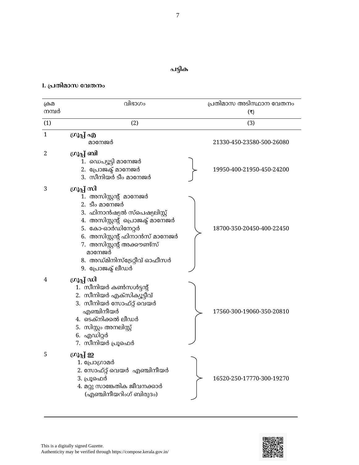## **പട്ടിക**

### **I. പ്പതിമാസ വേതനം**

| ക്രമ<br>നമ്പർ | വിഭാഗം                                                                                                                                                                                                                                                                         | പ്രതിമാസ അടിസ്ഥാന വേതനം<br>(₹) |
|---------------|--------------------------------------------------------------------------------------------------------------------------------------------------------------------------------------------------------------------------------------------------------------------------------|--------------------------------|
| (1)           | (2)                                                                                                                                                                                                                                                                            | (3)                            |
| $\mathbf{1}$  | ഗ്രൂപ്പ് എ<br>മാനേജർ                                                                                                                                                                                                                                                           | 21330-450-23580-500-26080      |
| 2             | ഗ്രൂപ്പ് ബി<br>1. ഡെപ്യൂട്ടി മാനേജർ<br>2. പ്രോജക്ട് മാനേജർ<br>3. സീനിയർ ടീം മാനേജർ                                                                                                                                                                                             | 19950-400-21950-450-24200      |
| 3             | ഗ്രൂപ്പ് സി<br>1. അസിസ്റ്റന്റ് മാനേജർ<br>2. ടീം മാനേജർ<br>3. ഫിനാൻഷ്യൽ സ്പെഷ്യലിസ്റ്റ്<br>4. അസിസ്റ്റന്റ് പ്രൊജക്ട് മാനേജർ<br>5. കോ-ഓർഡിനേറ്റർ<br>6. അസിസ്റ്റന്റ് ഫിനാൻസ് മാനേജർ<br>7. അസിസ്റ്റന്റ് അക്കൗണ്ട്സ്<br>മാനേജർ<br>8. അഡ്മിനിസ്ട്രേറ്റീവ് ഓഫീസർ<br>9. പ്രോജക്ട് ലീഡർ | 18700-350-20450-400-22450      |
| 4             | ഗ്രൂപ്പ് ഡി<br>1.  സീനിയർ കൺസൾട്ടന്റ്<br>2. സീനിയർ എക്സിക്യൂട്ടീവ്<br>3. സീനിയർ സോഫ്റ്റ് വെയർ<br>എഞ്ചിനീയർ<br>4. ടെക്നിക്കൽ ലീഡർ<br>5. സിസ്റ്റം അനലിസ്റ്റ്<br>6. എഡിറ്റർ<br>7. സീനിയർ പ്രൂഫെർ                                                                                  | 17560-300-19060-350-20810      |
| 5             | ഗ്രൂപ്പ് ഇ<br>1. പ്രോഗ്രാമർ<br>2. സോഫ്റ്റ് വെയർ  എഞ്ചിനീയർ<br>3. പ്രൂഫെർ<br>4. മറ്റു സാങ്കേതിക ജീവനക്കാർ<br>(എഞ്ചിനീയറിംഗ് ബിരുദം)                                                                                                                                             | 16520-250-17770-300-19270      |

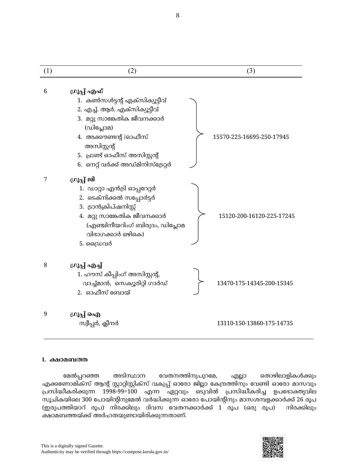| (1) | (2)                                                                                                                                                                                                                                           | (3)                       |
|-----|-----------------------------------------------------------------------------------------------------------------------------------------------------------------------------------------------------------------------------------------------|---------------------------|
| 6   | ഗ്രൂപ്പ് എഫ്<br>1. കൺസൾട്ടന്റ് എക്സിക്യൂട്ടീവ്<br>2. എച്ച്. ആർ. എക്സിക്യൂട്ടീവ്<br>3. മറ്റു സാങ്കേതിക ജീവനക്കാർ<br>(ഡിപ്ലോമ)<br>4. അക്കൗണ്ടന്റ് /ഓഫീസ്<br>അസിസ്റ്റന്റ്<br>5. ഫ്രണ്ട് ഓഫീസ് അസിസ്റ്റന്റ്<br>6. നെറ്റ് വർക്ക് അഡ്മിനിസ്ട്രേറ്റർ | 15570-225-16695-250-17945 |
| 7   | ഗ്രൂപ്പ് ജി<br>1. ഡാറ്റാ എൻട്രി ഓപ്പറേറ്റർ<br>2. ടെക്നിക്കൽ സപ്പോർട്ടർ<br>3. ട്രാൻക്രിപ്ഷനിസ്റ്റ്<br>4. മറ്റു സാങ്കേതിക ജീവനക്കാർ<br>(എഞ്ചിനീയറിംഗ് ബിരുദം, ഡിപ്ലോമ<br>വിഭാഗക്കാർ ഒഴികെ)<br>5. ഡ്രൈവർ                                         | 15120-200-16120-225-17245 |
| 8   | ഗ്രൂപ്പ് എച്ച്<br>1. ഹൗസ് കീപ്പിംഗ് അസിസ്റ്റന്റ്,<br>വാച്ച്മാൻ, സെക്യൂരിറ്റി ഗാർഡ്<br>2. ഓഫീസ് ബോയ്                                                                                                                                           | 13470-175-14345-200-15345 |
| 9   | ഗ്രൂപ്പ് ഐ<br>സ്വീപ്പർ, ക്ലീനർ                                                                                                                                                                                                                | 13110-150-13860-175-14735 |

#### **I. ക്ഷാമബത്ത**

മേൽപ്പറഞ്ഞ അടിസ്ഥാന വേതനത്തിനുപുറമേ, എല്ലാ തൊഴിലാളികൾക്കും എക്കണോമിക്സ് ആന്റ് സ്റ്റാറ്റിസ്റ്റിക്സ് വകുപ്പ് ഓരോ ജില്ലാ കേന്ദ്രത്തിനും വേണ്ടി ഓരോ മാസവും ന്ദ്പസിദ്ധീകരികുന്ന 1998-99=100 എന്ന ഏറ്റവും ഒടുവില് ന്ദ്പസിദ്ധീകരിച്ച ഉപകഭൊക്തൃവിെ സൂചികയിലെ 300 പോയിന്റിനുമേൽ വർദ്ധിക്കുന്ന ഓരോ പോയിന്റിനും മാസശമ്പളക്കാർക്ക് 26 രൂപ (ഇരുപത്തിയാറ് രൂപ) നിരക്കിലും ദിവസ വേതനക്കാർക്ക് 1 രൂപ (ഒരു രൂപ) നിരക്കിലും ക്ഷൊമബെയ്ക് അര്ഹ യുണ്ൊയിരികുന്ന ൊണ്.

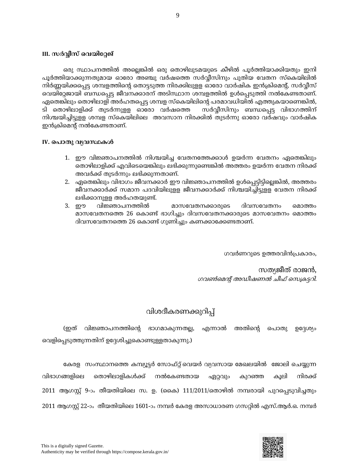#### **III. സർവീസ് വേയിവേജ്**

ഒരു സ്ഥാപനത്തിൽ അല്ലെങ്കിൽ ഒരു തൊഴിലുടമയുടെ കീഴിൽ പൂർത്തിയാക്കിയതും ഇനി പൂർത്തിയാക്കുന്നതുമായ ഓരോ അഞ്ചു വർഷത്തെ സർവ്വീസിനും പുതിയ വേതന സ്കെയിലിൽ നിർണ്ണയിക്കപ്പെട്ട ശമ്പളത്തിന്റെ തൊട്ടടുത്ത നിരക്കിലുളള ഓരോ വാർഷിക ഇൻക്രിമെന്റ്, സർവ്വീസ് വെയിറ്റേജായി ബന്ധപ്പെട്ട ജീവനക്കാരന് അടിസ്ഥാന ശമ്പളത്തിൽ ഉൾപ്പെടുത്തി നൽകേണ്ടതാണ്. ഏതെങ്കിലും തൊഴിലാളി അർഹതപ്പെട്ട ശമ്പള സ്കെയിലിന്റെ പരമാവധിയിൽ എത്തുകയാണെങ്കിൽ, ടി തൊഴിലാളിക്ക് തുടർന്നുളള ഓരോ വർഷത്തെ സർവ്വീസിനും ബന്ധപ്പെട്ട വിഭാഗത്തിന് നിശ്ചയിച്ചിട്ടുളള ശമ്പള സ്കെയിലിലെ അവസാന നിരക്കിൽ തുടർന്നു ഓരോ വർഷവും വാർഷിക ഇൻക്രിമെന്റ് നൽകേണ്ടതാണ്.

#### **IV. വപാതു േയേസ്ഥകള്**

- 1. ഈ വിജ്ഞാപനത്തിൽ നിശ്ചയിച്ച വേതനത്തേക്കാൾ ഉയർന്ന വേതനം ഏതെങ്കിലും തൊഴിലാളിക്ക് എവിടെയെങ്കിലും ലഭിക്കുന്നുണ്ടെങ്കിൽ അത്തരം ഉയർന്ന വേതന നിരക്ക് അവർക്ക് തുടർന്നും ലഭിക്കുന്നതാണ്.
- 2. ഏതെങ്കിലും വിഭാഗം ജീവനക്കാർ ഈ വിജ്ഞാപനത്തിൽ ഉൾപ്പെട്ടിട്ടില്ലെങ്കിൽ, അത്തരം ജീവനക്കാർക്ക് സമാന പദവിയിലുളള ജീവനക്കാർക്ക് നിശ്ചയിച്ചിട്ടുളള വേതന നിരക്ക് ലഭിക്കാനുള്ള അർഹതയുണ്ട്.
- 3. ഈ വിജ്ഞാപനത്തിൽ മാസവേതനക്കാരുടെ ദിവസവേതനം മൊത്തം മാസവേതനത്തെ 26 കൊണ്ട് ഭാഗിച്ചും ദിവസവേതനക്കാരുടെ മാസവേതനം മൊത്തം ദിവസവേതനത്തെ 26 കൊണ്ട് ഗുണിച്ചും കണക്കാക്കേണ്ടതാണ്.

ഗവര്ണറുതട ഉെരവിന്ഷന്ദ്പകൊരം,

സത്യജീത് രാജൻ, ഗവൺമെന്റ് അഡീഷണൽ ചീഫ് സെക്രട്ടറി.

## വിശ്േീകരണകുറിപ്പ്

(ഇത് വിജ്ഞാപനത്തിന്റെ ഭാഗമാകുന്നതല്ല, എന്നാൽ അതിന്റെ പൊതു ഉദ്ദേശ്യം വെളിപ്പെടുത്തുന്നതിന് ഉദ്ദേശിച്ചുകൊണ്ടുള്ളതാകുന്നു.)

കേരള സംസ്ഥാനത്തെ കമ്പ്യൂട്ടർ സോഫ്റ്റ് വെയർ വ്യവസായ മേഖലയിൽ ജോലി ചെയ്യുന്ന വിഭാഗങ്ങളിലെ തൊഴിലാളികൾക്ക് നൽകേണ്ടതായ ഏറ്റവും കുറഞ്ഞ കൂലി നിരക്ക് 2011 ആഗസ്റ്റ് 9-ാം തീയതിയിലെ സ. ഉ. (കൈ) 111/2011/തൊഴിൽ നമ്പരായി പുറപ്പെടുവിച്ചതും 2011 ആഗസ്റ്റ് 22-ാം തീയതിയിലെ 1601-ാം നമ്പർ കേരള അസാധാരണ ഗസറ്റിൽ എസ്.ആർ.ഒ. നമ്പർ